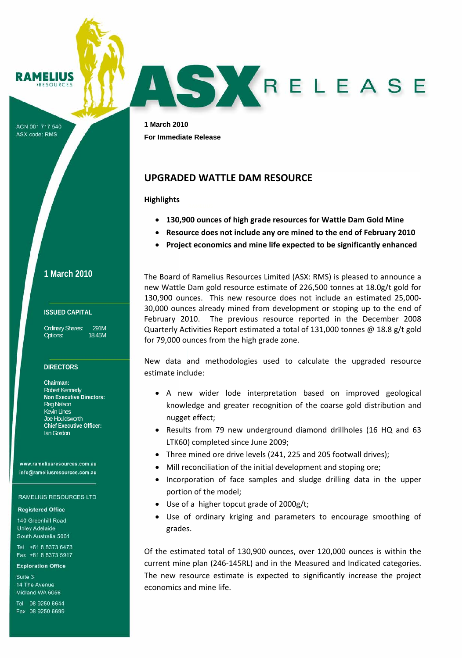**MELIUS** SOUPCE

ACN 001 717 540 **ASX code: RMS** 

**1 March 2010 For Immediate Release** 

# **UPGRADED WATTLE DAM RESOURCE**

**Highlights**

- **130,900 ounces of high grade resources for Wattle Dam Gold Mine**
- **Resource does not include any ore mined to the end of February 2010**

ASYRELEASE

• **Project economics and mine life expected to be significantly enhanced**

The Board of Ramelius Resources Limited (ASX: RMS) is pleased to announce a new Wattle Dam gold resource estimate of 226,500 tonnes at 18.0g/t gold for 130,900 ounces. This new resource does not include an estimated 25,000‐ 30,000 ounces already mined from development or stoping up to the end of February 2010. The previous resource reported in the December 2008 Quarterly Activities Report estimated a total of 131,000 tonnes @ 18.8 g/t gold for 79,000 ounces from the high grade zone.

New data and methodologies used to calculate the upgraded resource estimate include:

- A new wider lode interpretation based on improved geological knowledge and greater recognition of the coarse gold distribution and nugget effect;
- Results from 79 new underground diamond drillholes (16 HQ and 63 LTK60) completed since June 2009;
- Three mined ore drive levels (241, 225 and 205 footwall drives);
- Mill reconciliation of the initial development and stoping ore;
- Incorporation of face samples and sludge drilling data in the upper portion of the model;
- Use of a higher topcut grade of 2000g/t;
- Use of ordinary kriging and parameters to encourage smoothing of grades.

Of the estimated total of 130,900 ounces, over 120,000 ounces is within the current mine plan (246‐145RL) and in the Measured and Indicated categories. The new resource estimate is expected to significantly increase the project economics and mine life.

**1 March 2010**

### **ISSUED CAPITAL**

Ordinary Shares: 291M Options: 18.45M

### **DIRECTORS**

**Chairman:**  Robert Kennedy **Non Executive Directors:**  Reg Nelson Kevin Lines Joe Houldsworth **Chief Executive Officer:**  Ian Gordon

www.rameliusresources.com.au info@rameliusresources.com.au

#### **RAMELIUS RESOURCES LTD**

#### **Registered Office**

140 Greenhill Road **Unley Adelaide** South Australia 5061

Tel +61 8 8373 6473 Fax +61 8 8373 5917

#### **Exploration Office**

Suite 3 14 The Avenue Midland WA 6056

Tel 08 9250 6644 Fax 08 9250 6699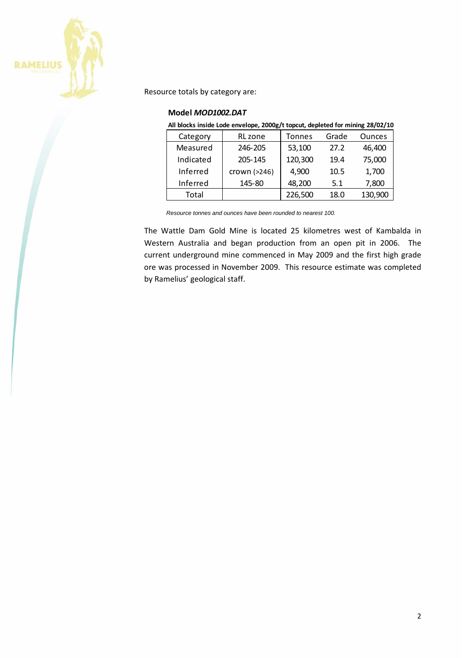

Resource totals by category are:

### **Model** *MOD1002.DAT*

**All blocks inside Lode envelope, 2000g/t topcut, depleted for mining 28/02/10**

| Category  | RL zone      | Tonnes  | Grade | <b>Ounces</b> |
|-----------|--------------|---------|-------|---------------|
| Measured  | 246-205      | 53,100  | 27.2  | 46,400        |
| Indicated | 205-145      | 120,300 | 19.4  | 75,000        |
| Inferred  | crown (>246) | 4,900   | 10.5  | 1,700         |
| Inferred  | 145-80       | 48,200  | 5.1   | 7,800         |
| Total     |              | 226,500 | 18.0  | 130,900       |

*Resource tonnes and ounces have been rounded to nearest 100.* 

The Wattle Dam Gold Mine is located 25 kilometres west of Kambalda in Western Australia and began production from an open pit in 2006. The current underground mine commenced in May 2009 and the first high grade ore was processed in November 2009. This resource estimate was completed by Ramelius' geological staff.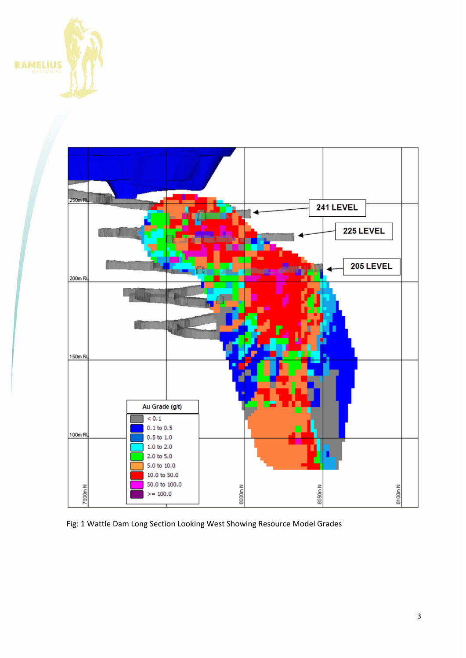



Fig: 1 Wattle Dam Long Section Looking West Showing Resource Model Grades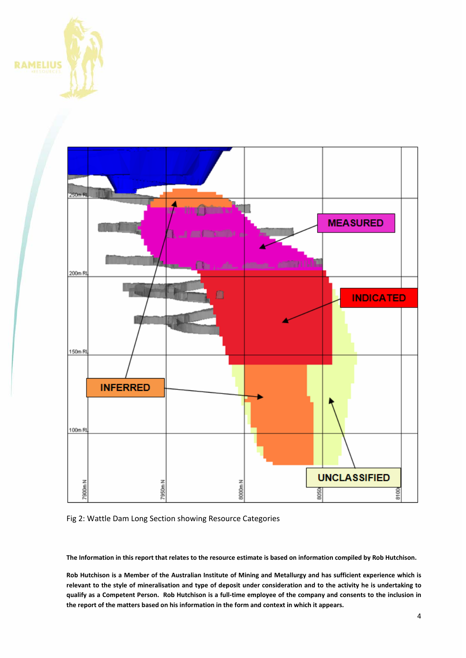



## Fig 2: Wattle Dam Long Section showing Resource Categories

The Information in this report that relates to the resource estimate is based on information compiled by Rob Hutchison.

Rob Hutchison is a Member of the Australian Institute of Mining and Metallurgy and has sufficient experience which is relevant to the style of mineralisation and type of deposit under consideration and to the activity he is undertaking to qualify as a Competent Person. Rob Hutchison is a full-time employee of the company and consents to the inclusion in **the report of the matters based on his information in the form and context in which it appears.**